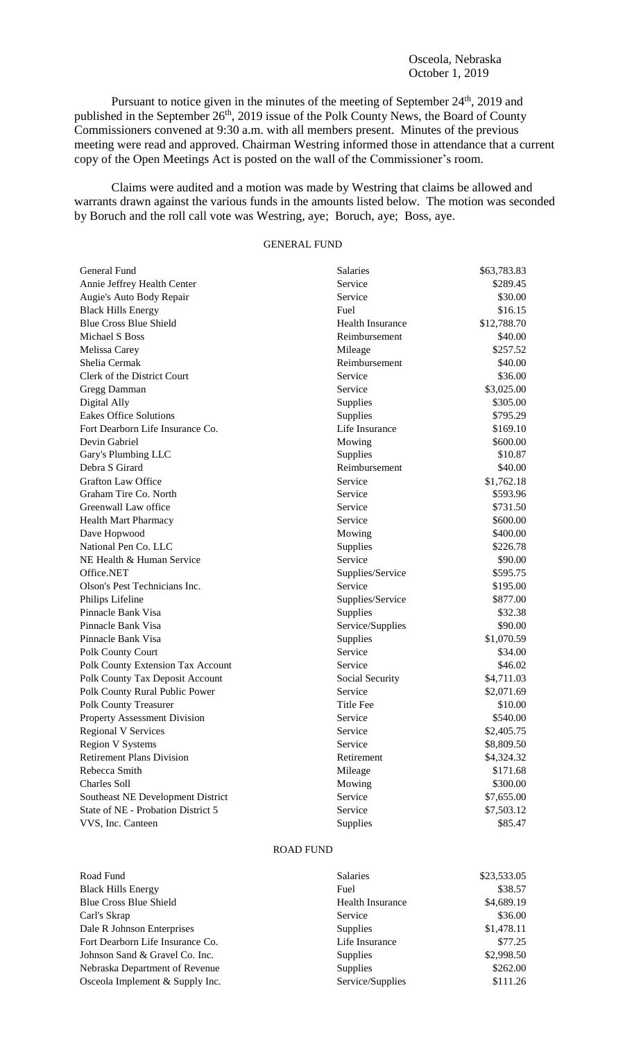Osceola, Nebraska October 1, 2019

Pursuant to notice given in the minutes of the meeting of September 24<sup>th</sup>, 2019 and published in the September 26<sup>th</sup>, 2019 issue of the Polk County News, the Board of County Commissioners convened at 9:30 a.m. with all members present. Minutes of the previous meeting were read and approved. Chairman Westring informed those in attendance that a current copy of the Open Meetings Act is posted on the wall of the Commissioner's room.

Claims were audited and a motion was made by Westring that claims be allowed and warrants drawn against the various funds in the amounts listed below. The motion was seconded by Boruch and the roll call vote was Westring, aye; Boruch, aye; Boss, aye.

## GENERAL FUND

| General Fund                       | <b>Salaries</b>  | \$63,783.83 |
|------------------------------------|------------------|-------------|
| Annie Jeffrey Health Center        | Service          | \$289.45    |
| Augie's Auto Body Repair           | Service          | \$30.00     |
| <b>Black Hills Energy</b>          | Fuel             | \$16.15     |
| <b>Blue Cross Blue Shield</b>      | Health Insurance | \$12,788.70 |
| Michael S Boss                     | Reimbursement    | \$40.00     |
| Melissa Carey                      | Mileage          | \$257.52    |
| Shelia Cermak                      | Reimbursement    | \$40.00     |
| Clerk of the District Court        | Service          | \$36.00     |
| Gregg Damman                       | Service          | \$3,025.00  |
| Digital Ally                       | Supplies         | \$305.00    |
| <b>Eakes Office Solutions</b>      | Supplies         | \$795.29    |
| Fort Dearborn Life Insurance Co.   | Life Insurance   | \$169.10    |
| Devin Gabriel                      | Mowing           | \$600.00    |
| Gary's Plumbing LLC                | Supplies         | \$10.87     |
| Debra S Girard                     | Reimbursement    | \$40.00     |
| <b>Grafton Law Office</b>          | Service          | \$1,762.18  |
| Graham Tire Co. North              | Service          | \$593.96    |
| Greenwall Law office               | Service          | \$731.50    |
| <b>Health Mart Pharmacy</b>        | Service          | \$600.00    |
| Dave Hopwood                       | Mowing           | \$400.00    |
| National Pen Co. LLC               | Supplies         | \$226.78    |
| NE Health & Human Service          | Service          | \$90.00     |
| Office.NET                         | Supplies/Service | \$595.75    |
| Olson's Pest Technicians Inc.      | Service          | \$195.00    |
| Philips Lifeline                   | Supplies/Service | \$877.00    |
| Pinnacle Bank Visa                 | Supplies         | \$32.38     |
| Pinnacle Bank Visa                 | Service/Supplies | \$90.00     |
| Pinnacle Bank Visa                 | Supplies         | \$1,070.59  |
| Polk County Court                  | Service          | \$34.00     |
| Polk County Extension Tax Account  | Service          | \$46.02     |
| Polk County Tax Deposit Account    | Social Security  | \$4,711.03  |
| Polk County Rural Public Power     | Service          | \$2,071.69  |
| <b>Polk County Treasurer</b>       | <b>Title Fee</b> | \$10.00     |
| Property Assessment Division       | Service          | \$540.00    |
| <b>Regional V Services</b>         | Service          | \$2,405.75  |
| <b>Region V Systems</b>            | Service          | \$8,809.50  |
| <b>Retirement Plans Division</b>   | Retirement       | \$4,324.32  |
| Rebecca Smith                      | Mileage          | \$171.68    |
| Charles Soll                       | Mowing           | \$300.00    |
| Southeast NE Development District  | Service          | \$7,655.00  |
| State of NE - Probation District 5 | Service          | \$7,503.12  |
| VVS, Inc. Canteen                  | Supplies         | \$85.47     |

## ROAD FUND

| Road Fund                        |
|----------------------------------|
| <b>Black Hills Energy</b>        |
| <b>Blue Cross Blue Shield</b>    |
| Carl's Skrap                     |
| Dale R Johnson Enterprises       |
| Fort Dearborn Life Insurance Co. |
| Johnson Sand & Gravel Co. Inc.   |
| Nebraska Department of Revenue   |
| Osceola Implement & Supply Inc.  |

| Road Fund                        | <b>Salaries</b>  | \$23,533.05 |
|----------------------------------|------------------|-------------|
| <b>Black Hills Energy</b>        | Fuel             | \$38.57     |
| <b>Blue Cross Blue Shield</b>    | Health Insurance | \$4,689.19  |
| Carl's Skrap                     | Service          | \$36.00     |
| Dale R Johnson Enterprises       | <b>Supplies</b>  | \$1,478.11  |
| Fort Dearborn Life Insurance Co. | Life Insurance   | \$77.25     |
| Johnson Sand & Gravel Co. Inc.   | <b>Supplies</b>  | \$2,998.50  |
| Nebraska Department of Revenue   | Supplies         | \$262.00    |
| Osceola Implement & Supply Inc.  | Service/Supplies | \$111.26    |
|                                  |                  |             |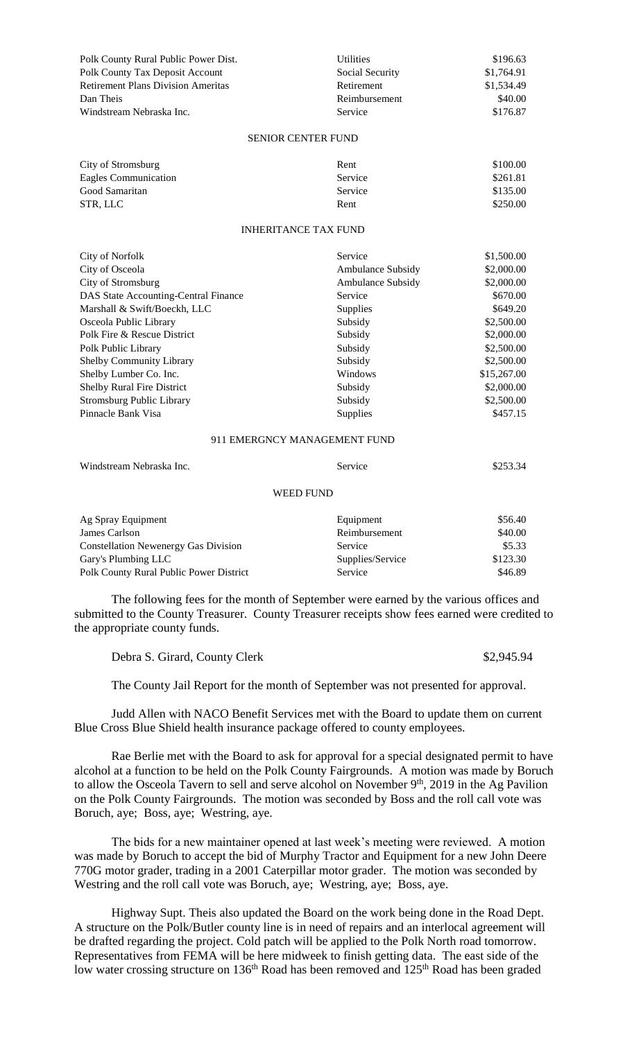| Polk County Rural Public Power Dist.      | <b>Utilities</b>            | \$196.63    |
|-------------------------------------------|-----------------------------|-------------|
| Polk County Tax Deposit Account           | Social Security             | \$1,764.91  |
| <b>Retirement Plans Division Ameritas</b> | Retirement                  | \$1,534.49  |
| Dan Theis                                 | Reimbursement               | \$40.00     |
| Windstream Nebraska Inc.                  | Service                     | \$176.87    |
|                                           | <b>SENIOR CENTER FUND</b>   |             |
| City of Stromsburg                        | Rent                        | \$100.00    |
| Eagles Communication                      | Service                     | \$261.81    |
| Good Samaritan                            | Service                     | \$135.00    |
| STR, LLC                                  | Rent                        | \$250.00    |
|                                           | <b>INHERITANCE TAX FUND</b> |             |
| <b>City of Norfolk</b>                    | Service                     | \$1,500.00  |
| City of Osceola                           | Ambulance Subsidy           | \$2,000.00  |
| City of Stromsburg                        | Ambulance Subsidy           | \$2,000.00  |
| DAS State Accounting-Central Finance      | Service                     | \$670.00    |
| Marshall & Swift/Boeckh, LLC              | Supplies                    | \$649.20    |
| Osceola Public Library                    | Subsidy                     | \$2,500.00  |
| Polk Fire & Rescue District               | Subsidy                     | \$2,000.00  |
| Polk Public Library                       | Subsidy                     | \$2,500.00  |
| Shelby Community Library                  | Subsidy                     | \$2,500.00  |
| Shelby Lumber Co. Inc.                    | Windows                     | \$15,267.00 |
| Shelby Rural Fire District                | Subsidy                     | \$2,000.00  |
| <b>Stromsburg Public Library</b>          | Subsidy                     | \$2,500.00  |
| Pinnacle Bank Visa                        | Supplies                    | \$457.15    |

## 911 EMERGNCY MANAGEMENT FUND

| Windstream Nebraska Inc.                    | Service          | \$253.34 |  |  |  |
|---------------------------------------------|------------------|----------|--|--|--|
| WEED FUND                                   |                  |          |  |  |  |
| Ag Spray Equipment                          | Equipment        | \$56.40  |  |  |  |
| James Carlson                               | Reimbursement    | \$40.00  |  |  |  |
| <b>Constellation Newenergy Gas Division</b> | Service          | \$5.33   |  |  |  |
| Gary's Plumbing LLC                         | Supplies/Service | \$123.30 |  |  |  |

Polk County Rural Public Power District Service Service Service \$46.89

The following fees for the month of September were earned by the various offices and submitted to the County Treasurer. County Treasurer receipts show fees earned were credited to the appropriate county funds.

Debra S. Girard, County Clerk  $$2,945.94$ 

The County Jail Report for the month of September was not presented for approval.

Judd Allen with NACO Benefit Services met with the Board to update them on current Blue Cross Blue Shield health insurance package offered to county employees.

Rae Berlie met with the Board to ask for approval for a special designated permit to have alcohol at a function to be held on the Polk County Fairgrounds. A motion was made by Boruch to allow the Osceola Tavern to sell and serve alcohol on November 9<sup>th</sup>, 2019 in the Ag Pavilion on the Polk County Fairgrounds. The motion was seconded by Boss and the roll call vote was Boruch, aye; Boss, aye; Westring, aye.

The bids for a new maintainer opened at last week's meeting were reviewed. A motion was made by Boruch to accept the bid of Murphy Tractor and Equipment for a new John Deere 770G motor grader, trading in a 2001 Caterpillar motor grader. The motion was seconded by Westring and the roll call vote was Boruch, aye; Westring, aye; Boss, aye.

Highway Supt. Theis also updated the Board on the work being done in the Road Dept. A structure on the Polk/Butler county line is in need of repairs and an interlocal agreement will be drafted regarding the project. Cold patch will be applied to the Polk North road tomorrow. Representatives from FEMA will be here midweek to finish getting data. The east side of the low water crossing structure on 136<sup>th</sup> Road has been removed and 125<sup>th</sup> Road has been graded